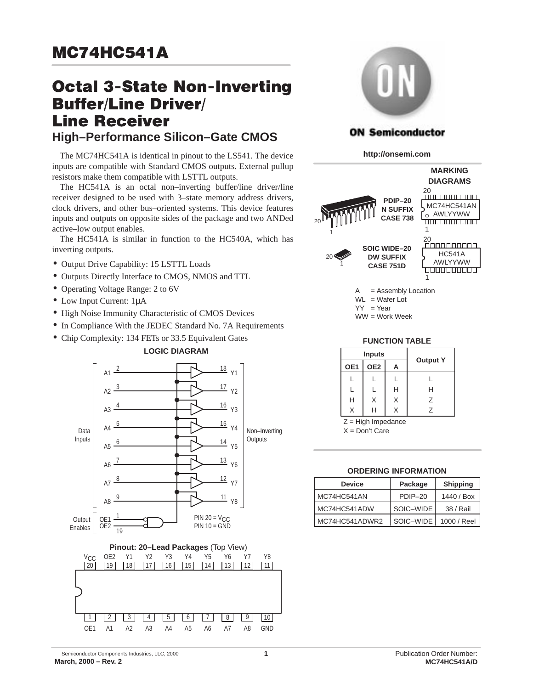# **Octal 3-State Non-Inverting Buffer/Line Driver/ Line Receiver High–Performance Silicon–Gate CMOS**

The MC74HC541A is identical in pinout to the LS541. The device inputs are compatible with Standard CMOS outputs. External pullup resistors make them compatible with LSTTL outputs.

The HC541A is an octal non–inverting buffer/line driver/line receiver designed to be used with 3–state memory address drivers, clock drivers, and other bus–oriented systems. This device features inputs and outputs on opposite sides of the package and two ANDed active–low output enables.

The HC541A is similar in function to the HC540A, which has inverting outputs.

- Output Drive Capability: 15 LSTTL Loads
- Outputs Directly Interface to CMOS, NMOS and TTL
- Operating Voltage Range: 2 to 6V
- Low Input Current: 1µA
- High Noise Immunity Characteristic of CMOS Devices
- In Compliance With the JEDEC Standard No. 7A Requirements
- Chip Complexity: 134 FETs or 33.5 Equivalent Gates







### **ON Semiconductor**

**http://onsemi.com**



 $YY = Year$ 

WW = Work Week

#### **FUNCTION TABLE**

|     | <b>Inputs</b> |   |                 |
|-----|---------------|---|-----------------|
| OE1 | OE2           | А | <b>Output Y</b> |
|     |               |   |                 |
|     |               | н | н               |
| н   | Х             | Х | 7               |
|     |               |   | 7               |

Z = High Impedance

X = Don't Care

#### **ORDERING INFORMATION**

| <b>Device</b>  | Package   | <b>Shipping</b> |  |
|----------------|-----------|-----------------|--|
| MC74HC541AN    | $PDIP-20$ | 1440 / Box      |  |
| MC74HC541ADW   | SOIC-WIDE | 38 / Rail       |  |
| MC74HC541ADWR2 | SOIC-WIDE | 1000 / Reel     |  |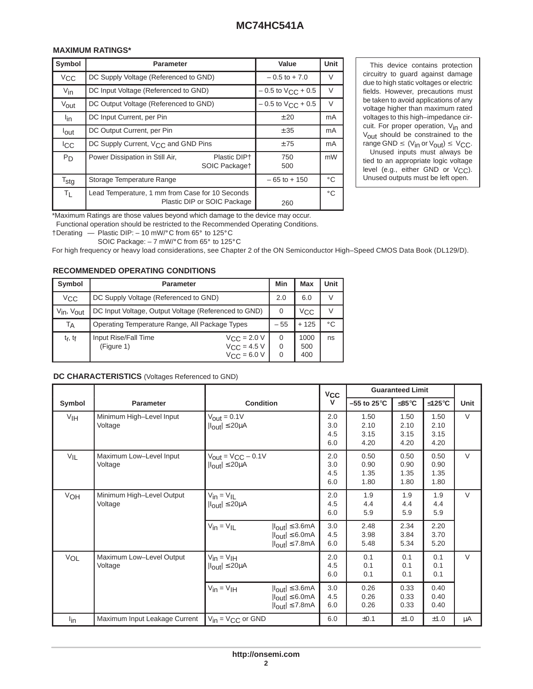#### 

| Symbol           | <b>Parameter</b>                                                               |                               | Value                    | <b>Unit</b>  |
|------------------|--------------------------------------------------------------------------------|-------------------------------|--------------------------|--------------|
| V <sub>CC</sub>  | DC Supply Voltage (Referenced to GND)                                          |                               | $-0.5$ to $+7.0$         |              |
| $V_{\text{in}}$  | DC Input Voltage (Referenced to GND)                                           |                               | $-0.5$ to $V_{CC}$ + 0.5 | V            |
| Vout             | DC Output Voltage (Referenced to GND)                                          |                               | $-0.5$ to $V_{CC}$ + 0.5 | V            |
| lin              | DC Input Current, per Pin                                                      |                               | ± 20                     | mA           |
| lout             | DC Output Current, per Pin                                                     |                               | ± 35                     | mA           |
| <sup>I</sup> CC  | DC Supply Current, V <sub>CC</sub> and GND Pins                                |                               | ±75                      | mA           |
| P <sub>D</sub>   | Power Dissipation in Still Air,                                                | Plastic DIP+<br>SOIC Packaget | 750<br>500               | mW           |
| $T_{\text{stg}}$ | Storage Temperature Range                                                      |                               | $-65$ to $+150$          | $^{\circ}$ C |
| $T_{L}$          | Lead Temperature, 1 mm from Case for 10 Seconds<br>Plastic DIP or SOIC Package |                               | 260                      | $^{\circ}$ C |

  \*Maximum Ratings are those values beyond which damage to the device may occur. 

Functional operation should be restricted to the Recommended Operating Conditions.

 $\uparrow$ Derating — Plastic DIP: - 10 mW/°C from 65° to 125°C

SOIC Package:  $-7$  mW/ $^{\circ}$ C from 65 $^{\circ}$  to 125 $^{\circ}$ C

For high frequency or heavy load considerations, see Chapter 2 of the ON Semiconductor High–Speed CMOS Data Book (DL129/D).

#### **RECOMMENDED OPERATING CONDITIONS**

| Symbol                             | <b>Parameter</b>                                     |                                                                         | Min      | Max                | <b>Unit</b>  |
|------------------------------------|------------------------------------------------------|-------------------------------------------------------------------------|----------|--------------------|--------------|
| $V_{CC}$                           | DC Supply Voltage (Referenced to GND)                |                                                                         | 2.0      | 6.0                |              |
| $V_{\text{in}}$ , $V_{\text{out}}$ | DC Input Voltage, Output Voltage (Referenced to GND) |                                                                         | $\Omega$ | <sup>V</sup> CC    |              |
| TA                                 | Operating Temperature Range, All Package Types       |                                                                         | $-55$    | $+125$             | $^{\circ}$ C |
| t <sub>r</sub> , t <sub>f</sub>    | Input Rise/Fall Time<br>(Figure 1)                   | $V_{\text{CC}}$ = 2.0 V<br>$V_{\text{CC}} = 4.5 V$<br>$V_{C,C} = 6.0 V$ | 0        | 1000<br>500<br>400 | ns           |

#### **DC CHARACTERISTICS** (Voltages Referenced to GND)

|          |                                      |                                                                             |                                                                                                                  | $V_{CC}$                 | <b>Guaranteed Limit</b>      |                              |                              |        |
|----------|--------------------------------------|-----------------------------------------------------------------------------|------------------------------------------------------------------------------------------------------------------|--------------------------|------------------------------|------------------------------|------------------------------|--------|
| Symbol   | <b>Parameter</b>                     | <b>Condition</b>                                                            |                                                                                                                  | v                        | $-55$ to 25 $^{\circ}$ C     | $≤85^{\circ}C$               | ≤125°C                       | Unit   |
| VIH      | Minimum High-Level Input<br>Voltage  | $V_{\text{out}} = 0.1 V$<br>$ I_{\text{out}}  \leq 20 \mu A$                |                                                                                                                  | 2.0<br>3.0<br>4.5<br>6.0 | 1.50<br>2.10<br>3.15<br>4.20 | 1.50<br>2.10<br>3.15<br>4.20 | 1.50<br>2.10<br>3.15<br>4.20 | $\vee$ |
| $V_{IL}$ | Maximum Low-Level Input<br>Voltage   | $V_{\text{out}} = V_{\text{CC}} - 0.1V$<br>$ I_{\text{out}}  \leq 20 \mu A$ |                                                                                                                  | 2.0<br>3.0<br>4.5<br>6.0 | 0.50<br>0.90<br>1.35<br>1.80 | 0.50<br>0.90<br>1.35<br>1.80 | 0.50<br>0.90<br>1.35<br>1.80 | $\vee$ |
| VOH      | Minimum High-Level Output<br>Voltage | $V_{in} = V_{IL}$<br>$ I_{\text{out}}  \leq 20 \mu A$                       |                                                                                                                  | 2.0<br>4.5<br>6.0        | 1.9<br>4.4<br>5.9            | 1.9<br>4.4<br>5.9            | 1.9<br>4.4<br>5.9            | V      |
|          |                                      | $V_{in} = V_{IL}$                                                           | $ I_{\text{out}}  \leq 3.6 \text{mA}$<br>$ I_{\text{out}}  \leq 6.0 \text{mA}$<br>$ I_{\text{out}}  \leq 7.8$ mA | 3.0<br>4.5<br>6.0        | 2.48<br>3.98<br>5.48         | 2.34<br>3.84<br>5.34         | 2.20<br>3.70<br>5.20         |        |
| VOL      | Maximum Low-Level Output<br>Voltage  | $V_{in} = V_{IH}$<br>$ I_{\text{out}}  \leq 20 \mu A$                       |                                                                                                                  | 2.0<br>4.5<br>6.0        | 0.1<br>0.1<br>0.1            | 0.1<br>0.1<br>0.1            | 0.1<br>0.1<br>0.1            | V      |
|          |                                      | $V_{in} = V_{IH}$                                                           | $ I_{\text{out}}  \leq 3.6$ mA<br>$ I_{\text{out}}  \leq 6.0 \text{mA}$<br>$ I_{\text{out}}  \leq 7.8 \text{mA}$ | 3.0<br>4.5<br>6.0        | 0.26<br>0.26<br>0.26         | 0.33<br>0.33<br>0.33         | 0.40<br>0.40<br>0.40         |        |
| $I_{in}$ | Maximum Input Leakage Current        | $V_{in} = V_{CC}$ or GND                                                    |                                                                                                                  | 6.0                      | ±0.1                         | ±1.0                         | ±1.0                         | μA     |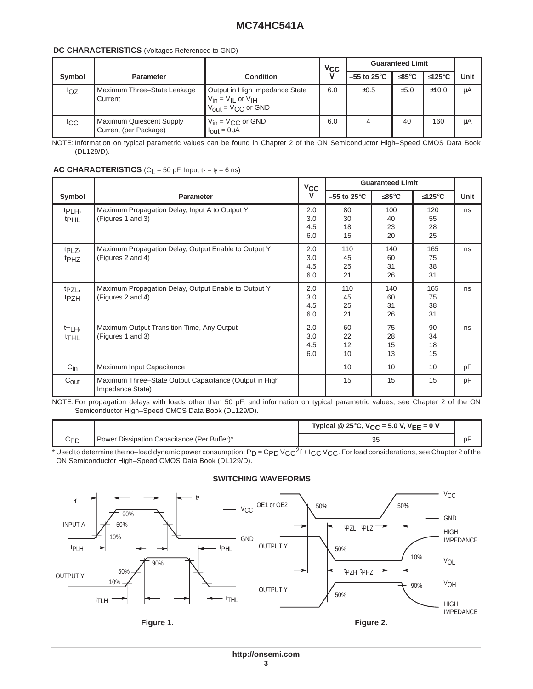#### **DC CHARACTERISTICS** (Voltages Referenced to GND)

|        |                                                          |                                                                                                            | <b>V<sub>CC</sub></b> | <b>Guaranteed Limit</b>  |               |        |      |
|--------|----------------------------------------------------------|------------------------------------------------------------------------------------------------------------|-----------------------|--------------------------|---------------|--------|------|
| Symbol | <b>Parameter</b>                                         | <b>Condition</b>                                                                                           | $\mathbf{v}$          | $-55$ to 25 $^{\circ}$ C | $≤85^\circ$ C | ≤125°C | Unit |
| loz    | Maximum Three-State Leakage<br>Current                   | Output in High Impedance State<br>$V_{in} = V_{IL}$ or $V_{IH}$<br>$V_{\text{out}} = V_{\text{CC}}$ or GND | 6.0                   | $\pm 0.5$                | ±5.0          | ±10.0  | μA   |
| ICC.   | <b>Maximum Quiescent Supply</b><br>Current (per Package) | $V_{in} = V_{CC}$ or GND<br>$I_{\text{out}} = 0 \mu A$                                                     | 6.0                   |                          | 40            | 160    | μA   |

NOTE: Information on typical parametric values can be found in Chapter 2 of the ON Semiconductor High–Speed CMOS Data Book (DL129/D).

|                                        |                                                                            | $V_{CC}$                 |                         | <b>Guaranteed Limit</b> |                       |      |
|----------------------------------------|----------------------------------------------------------------------------|--------------------------|-------------------------|-------------------------|-----------------------|------|
| Symbol                                 | <b>Parameter</b>                                                           | v                        | $-55$ to 25 $\degree$ C | ≤85°C                   | ≤125°C                | Unit |
| t <sub>PLH</sub> ,<br><sup>t</sup> PHL | Maximum Propagation Delay, Input A to Output Y<br>(Figures 1 and 3)        | 2.0<br>3.0<br>4.5<br>6.0 | 80<br>30<br>18<br>15    | 100<br>40<br>23<br>20   | 120<br>55<br>28<br>25 | ns   |
| t <sub>PLZ</sub> ,<br><sup>t</sup> PHZ | Maximum Propagation Delay, Output Enable to Output Y<br>(Figures 2 and 4)  | 2.0<br>3.0<br>4.5<br>6.0 | 110<br>45<br>25<br>21   | 140<br>60<br>31<br>26   | 165<br>75<br>38<br>31 | ns   |
| t <sub>PZL</sub> ,<br>t <sub>PZH</sub> | Maximum Propagation Delay, Output Enable to Output Y<br>(Figures 2 and 4)  | 2.0<br>3.0<br>4.5<br>6.0 | 110<br>45<br>25<br>21   | 140<br>60<br>31<br>26   | 165<br>75<br>38<br>31 | ns   |
| t <sub>TLH</sub> ,<br><sup>t</sup> THL | Maximum Output Transition Time, Any Output<br>(Figures 1 and 3)            | 2.0<br>3.0<br>4.5<br>6.0 | 60<br>22<br>12<br>10    | 75<br>28<br>15<br>13    | 90<br>34<br>18<br>15  | ns   |
| $C_{\text{in}}$                        | Maximum Input Capacitance                                                  |                          | 10                      | 10                      | 10                    | pF   |
| $C_{\text{out}}$                       | Maximum Three–State Output Capacitance (Output in High<br>Impedance State) |                          | 15                      | 15                      | 15                    | pF   |

#### **AC CHARACTERISTICS** ( $C_L$  = 50 pF, Input  $t_r$  =  $t_f$  = 6 ns)

NOTE: For propagation delays with loads other than 50 pF, and information on typical parametric values, see Chapter 2 of the ON Semiconductor High–Speed CMOS Data Book (DL129/D).

|     |                                               | Typical @ 25°C, $V_{CC}$ = 5.0 V, $V_{EE}$ = 0 V |  |
|-----|-----------------------------------------------|--------------------------------------------------|--|
| Срп | ' Power Dissipation Capacitance (Per Buffer)* |                                                  |  |

\* Used to determine the no–load dynamic power consumption:  $P_D = C_{PD} V_{CC}^2 + I_{CC} V_{CC}$ . For load considerations, see Chapter 2 of the ON Semiconductor High–Speed CMOS Data Book (DL129/D).

#### **SWITCHING WAVEFORMS**



**Figure 1.**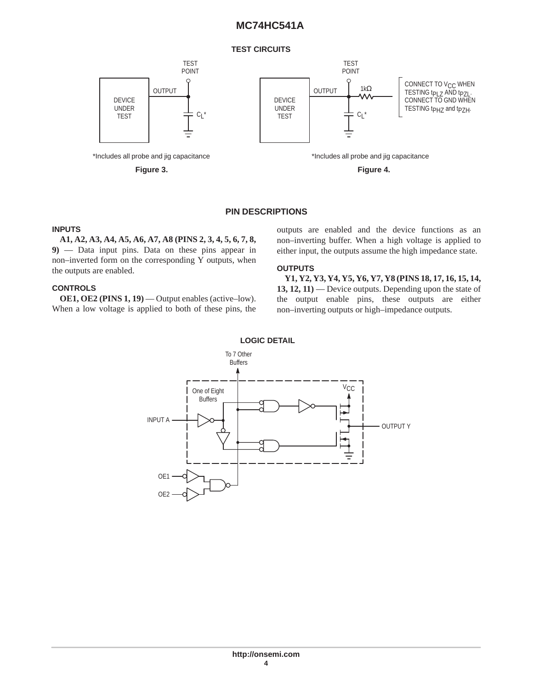#### **TEST CIRCUITS**



#### **PIN DESCRIPTIONS**

#### **INPUTS**

**A1, A2, A3, A4, A5, A6, A7, A8 (PINS 2, 3, 4, 5, 6, 7, 8, 9)** — Data input pins. Data on these pins appear in non–inverted form on the corresponding Y outputs, when the outputs are enabled.

#### **CONTROLS**

**OE1, OE2 (PINS 1, 19)** — Output enables (active–low). When a low voltage is applied to both of these pins, the outputs are enabled and the device functions as an non–inverting buffer. When a high voltage is applied to either input, the outputs assume the high impedance state.

#### **OUTPUTS**

**Y1, Y2, Y3, Y4, Y5, Y6, Y7, Y8 (PINS 18, 17, 16, 15, 14, 13, 12, 11)** — Device outputs. Depending upon the state of the output enable pins, these outputs are either non–inverting outputs or high–impedance outputs.



### **LOGIC DETAIL**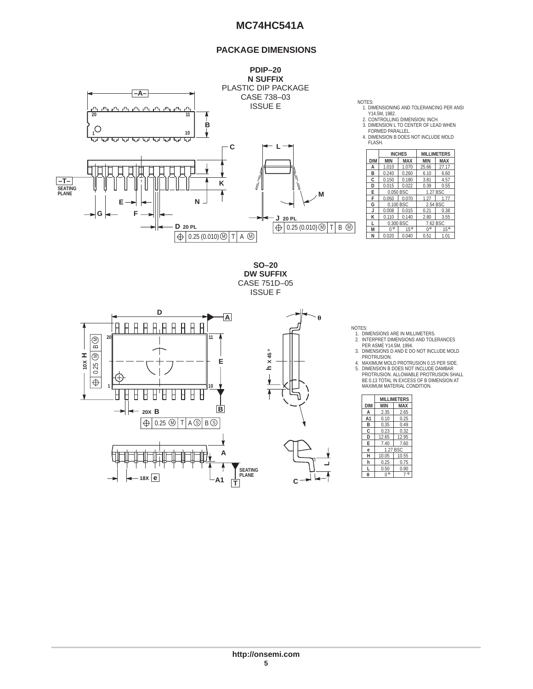#### **PACKAGE DIMENSIONS**



1. DIMENSIONING AND TOLERANCING PER ANSI Y14.5M, 1982.

2. CONTROLLING DIMENSION: INCH. 3. DIMENSION L TO CENTER OF LEAD WHEN FORMED PARALLEL.

4. DIMENSION B DOES NOT INCLUDE MOLD

| FI ASH.    |             |               |                    |            |  |
|------------|-------------|---------------|--------------------|------------|--|
|            |             | <b>INCHES</b> | <b>MILLIMETERS</b> |            |  |
| <b>DIM</b> | <b>MIN</b>  | <b>MAX</b>    | <b>MIN</b>         | <b>MAX</b> |  |
| А          | 1.010       | 1.070         | 25.66              | 27.17      |  |
| B          | 0.240       | 0.260         | 6.10               | 6.60       |  |
| C          | 0.150       | 0.180         | 3.81               | 4.57       |  |
| D          | 0.015       | 0.022         | 0.39               | 0.55       |  |
| E          |             | 0.050 BSC     |                    | 1.27 BSC   |  |
| F          | 0.050       | 0.070         | 1.27               | 1.77       |  |
| G          |             | 0.100 BSC     | 2.54 BSC           |            |  |
| J          | 0.008       | 0.015         | 0.21               | 0.38       |  |
| ĸ          | 0.110       | 0.140         | 2.80               | 3.55       |  |
|            | 0.300 BSC   |               | 7.62 BSC           |            |  |
| M          | $0^{\circ}$ | 15°           | $0^{\circ}$        | 15°        |  |
| N          | 0.020       | 0.040         | 0.51               | 1.01       |  |

**SO–20 DW SUFFIX** CASE 751D–05 ISSUE F



NOTES:

**L**

A

1. DIMENSIONS ARE IN MILLIMETERS. 2. INTERPRET DIMENSIONS AND TOLERANCES PER ASME Y14.5M, 1994.

3. DIMENSIONS D AND E DO NOT INCLUDE MOLD<br>4. MAXIMUM MOLD PROTRUSION 0.15 PER SIDE.<br>5. DIMENSION B DOES NOT INCLUDE DAMBAR<br>5. DIMENSION B DOES NOT INCLUDE DAMBAR<br>PROTRUSION. ALLOWABLE PROTRUSION SHALL BE 0.13 TOTAL IN EXCESS OF B DIMENSION AT MAXIMUM MATERIAL CONDITION.

|                | <b>MILLIMETERS</b> |            |  |  |  |
|----------------|--------------------|------------|--|--|--|
| <b>DIM</b>     | MIN                | <b>MAX</b> |  |  |  |
| А              | 2.35               | 2.65       |  |  |  |
| A <sub>1</sub> | 0.10               | 0.25       |  |  |  |
| в              | 0.35               | 0.49       |  |  |  |
| C              | 0.23               | 0.32       |  |  |  |
| D              | 12.65              | 12.95      |  |  |  |
| E              | 7.40               | 7.60       |  |  |  |
| ė              |                    | 1.27 BSC   |  |  |  |
| н              | 10.05              | 10.55      |  |  |  |
| h              | 0.25               | 0.75       |  |  |  |
|                | 0.50               | 0.90       |  |  |  |
| A              | 0°                 | $\circ$    |  |  |  |
|                |                    |            |  |  |  |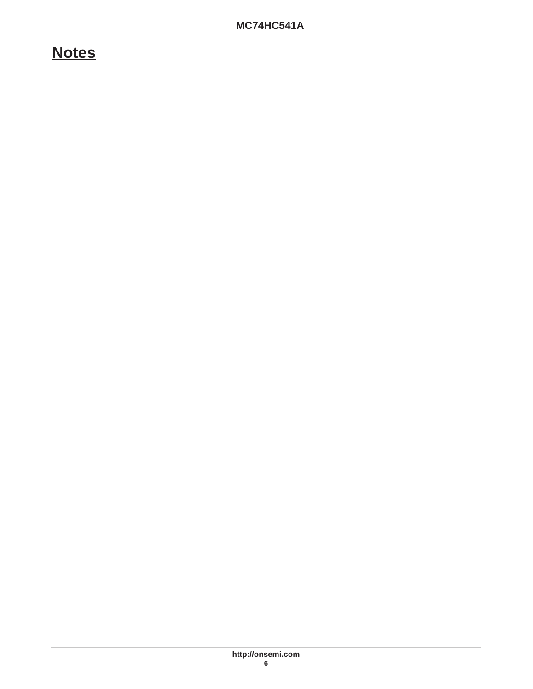# **Notes**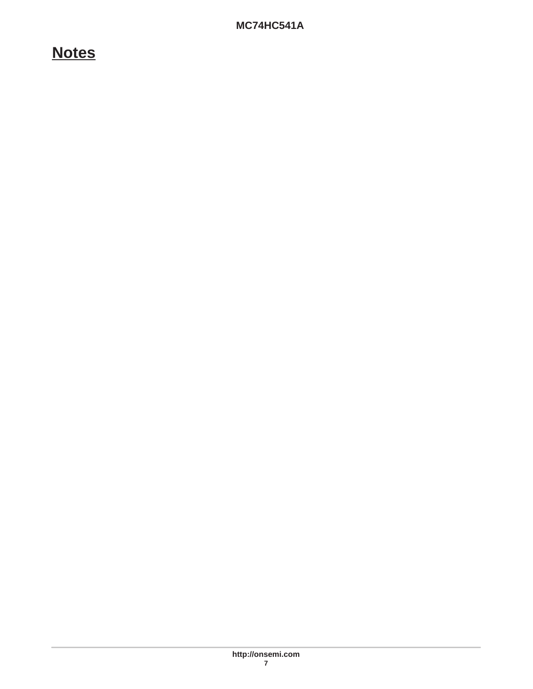# **Notes**